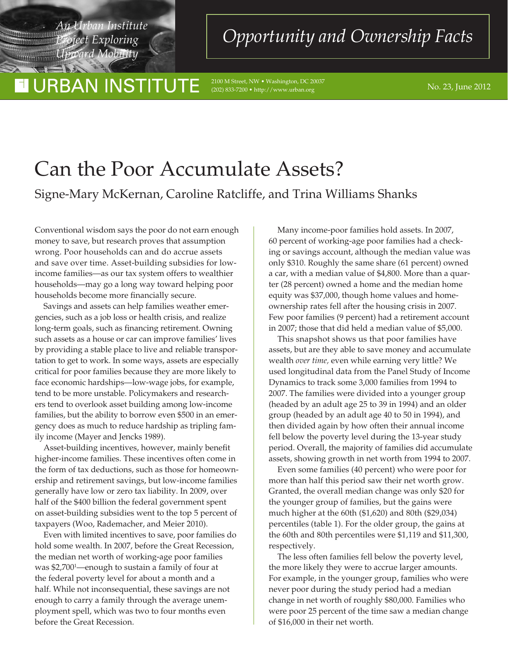*Project Exploring Upward Mobility*

<u> Timeran</u>

## **URBAN INSTITUTE**

an Institute *Opportunity and Ownership Facts* 

No. 23, June 2012 2100 M Street, NW • Washington, DC 20037 (202) 833-7200 • http://www.urban.org

# Can the Poor Accumulate Assets? Signe-Mary McKernan, Caroline Ratcliffe, and Trina Williams Shanks

Conventional wisdom says the poor do not earn enough money to save, but research proves that assumption wrong. Poor households can and do accrue assets and save over time. Asset-building subsidies for lowincome families—as our tax system offers to wealthier households—may go a long way toward helping poor households become more financially secure.

Savings and assets can help families weather emergencies, such as a job loss or health crisis, and realize long-term goals, such as financing retirement. Owning such assets as a house or car can improve families' lives by providing a stable place to live and reliable transportation to get to work. In some ways, assets are especially critical for poor families because they are more likely to face economic hardships—low-wage jobs, for example, tend to be more unstable. Policymakers and researchers tend to overlook asset building among low-income families, but the ability to borrow even \$500 in an emergency does as much to reduce hardship as tripling family income (Mayer and Jencks 1989).

Asset-building incentives, however, mainly benefit higher-income families. These incentives often come in the form of tax deductions, such as those for homeownership and retirement savings, but low-income families generally have low or zero tax liability. In 2009, over half of the \$400 billion the federal government spent on asset-building subsidies went to the top 5 percent of taxpayers (Woo, Rademacher, and Meier 2010).

Even with limited incentives to save, poor families do hold some wealth. In 2007, before the Great Recession, the median net worth of working-age poor families was \$2,7001 —enough to sustain a family of four at the federal poverty level for about a month and a half. While not inconsequential, these savings are not enough to carry a family through the average unemployment spell, which was two to four months even before the Great Recession.

Many income-poor families hold assets. In 2007, 60 percent of working-age poor families had a checking or savings account, although the median value was only \$310. Roughly the same share (61 percent) owned a car, with a median value of \$4,800. More than a quarter (28 percent) owned a home and the median home equity was \$37,000, though home values and homeownership rates fell after the housing crisis in 2007. Few poor families (9 percent) had a retirement account in 2007; those that did held a median value of \$5,000.

This snapshot shows us that poor families have assets, but are they able to save money and accumulate wealth *over time,* even while earning very little? We used longitudinal data from the Panel Study of Income Dynamics to track some 3,000 families from 1994 to 2007. The families were divided into a younger group (headed by an adult age 25 to 39 in 1994) and an older group (headed by an adult age 40 to 50 in 1994), and then divided again by how often their annual income fell below the poverty level during the 13-year study period. Overall, the majority of families did accumulate assets, showing growth in net worth from 1994 to 2007.

Even some families (40 percent) who were poor for more than half this period saw their net worth grow. Granted, the overall median change was only \$20 for the younger group of families, but the gains were much higher at the 60th (\$1,620) and 80th (\$29,034) percentiles (table 1). For the older group, the gains at the 60th and 80th percentiles were \$1,119 and \$11,300, respectively.

The less often families fell below the poverty level, the more likely they were to accrue larger amounts. For example, in the younger group, families who were never poor during the study period had a median change in net worth of roughly \$80,000. Families who were poor 25 percent of the time saw a median change of \$16,000 in their net worth.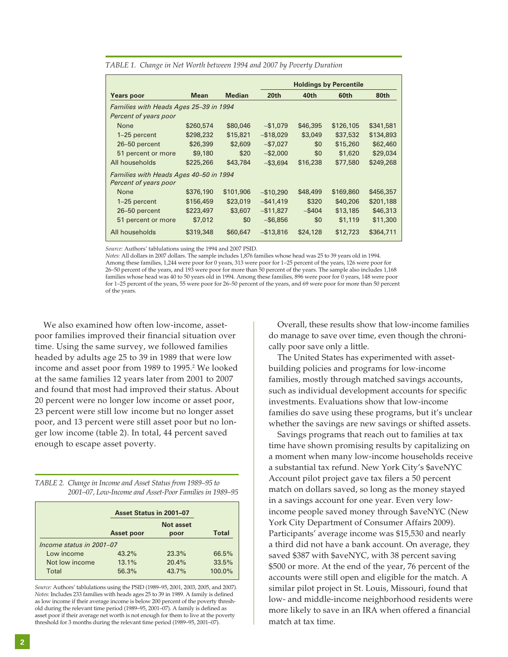|                                        |             |               |                  | <b>Holdings by Percentile</b> |           |           |  |
|----------------------------------------|-------------|---------------|------------------|-------------------------------|-----------|-----------|--|
| <b>Years poor</b>                      | <b>Mean</b> | <b>Median</b> | 20 <sub>th</sub> | 40th                          | 60th      | 80th      |  |
| Families with Heads Ages 25-39 in 1994 |             |               |                  |                               |           |           |  |
| Percent of years poor                  |             |               |                  |                               |           |           |  |
| None                                   | \$260,574   | \$80,046      | $-$ \$1,079      | \$46,395                      | \$126,105 | \$341,581 |  |
| 1-25 percent                           | \$298,232   | \$15,821      | $-$ \$18,029     | \$3,049                       | \$37,532  | \$134,893 |  |
| 26-50 percent                          | \$26,399    | \$2,609       | $-$7,027$        | \$0                           | \$15,260  | \$62,460  |  |
| 51 percent or more                     | \$9,180     | \$20          | $-$ \$2,000      | \$0                           | \$1,620   | \$29,034  |  |
| All households                         | \$225,266   | \$43,784      | $-$ \$3,694      | \$16,238                      | \$77,580  | \$249,268 |  |
| Families with Heads Ages 40-50 in 1994 |             |               |                  |                               |           |           |  |
| Percent of years poor                  |             |               |                  |                               |           |           |  |
| None                                   | \$376,190   | \$101,906     | $-$10,290$       | \$48,499                      | \$169,860 | \$456,357 |  |
| 1–25 percent                           | \$156,459   | \$23,019      | $-$ \$41,419     | \$320                         | \$40,206  | \$201,188 |  |
| 26-50 percent                          | \$223,497   | \$3,607       | $-$ \$11,827     | $-$ \$404                     | \$13,185  | \$46,313  |  |
| 51 percent or more                     | \$7,012     | \$0           | $-$ \$6,856      | \$0                           | \$1,119   | \$11,300  |  |
| All households                         | \$319,348   | \$60,647      | $-$ \$13,816     | \$24,128                      | \$12,723  | \$364,711 |  |

*TABLE 1. Change in Net Worth between 1994 and 2007 by Poverty Duration*

*Source:* Authors' tablulations using the 1994 and 2007 PSID.

*Notes:* All dollars in 2007 dollars. The sample includes 1,876 families whose head was 25 to 39 years old in 1994. Among these families, 1,244 were poor for 0 years, 313 were poor for 1–25 percent of the years, 126 were poor for 26–50 percent of the years, and 193 were poor for more than 50 percent of the years. The sample also includes 1,168 families whose head was 40 to 50 years old in 1994. Among these families, 896 were poor for 0 years, 148 were poor for 1–25 percent of the years, 55 were poor for 26–50 percent of the years, and 69 were poor for more than 50 percent of the years.

We also examined how often low-income, assetpoor families improved their financial situation over time. Using the same survey, we followed families headed by adults age 25 to 39 in 1989 that were low income and asset poor from 1989 to 1995.2 We looked at the same families 12 years later from 2001 to 2007 and found that most had improved their status. About 20 percent were no longer low income or asset poor, 23 percent were still low-income but no longer asset poor, and 13 percent were still asset poor but no longer low income (table 2). In total, 44 percent saved enough to escape asset poverty.

*TABLE 2. Change in Income and Asset Status from 1989–95 to 2001–07, Low-Income and Asset-Poor Families in 1989–95*

|                          | Asset Status in 2001-07 |                          |              |  |  |  |  |
|--------------------------|-------------------------|--------------------------|--------------|--|--|--|--|
|                          | Asset poor              | <b>Not asset</b><br>poor | <b>Total</b> |  |  |  |  |
| Income status in 2001-07 |                         |                          |              |  |  |  |  |
| Low income               | 43.2%                   | 23.3%                    | 66.5%        |  |  |  |  |
| Not low income           | 13.1%                   | 20.4%                    | 33.5%        |  |  |  |  |
| Total                    | 56.3%                   | 43.7%                    | 100.0%       |  |  |  |  |

*Source:* Authors' tablulations using the PSID (1989–95, 2001, 2003, 2005, and 2007). *Notes:* Includes 233 families with heads ages 25 to 39 in 1989. A family is defined as low income if their average income is below 200 percent of the poverty threshold during the relevant time period (1989–95, 2001–07). A family is defined as asset poor if their average net worth is not enough for them to live at the poverty threshold for 3 months during the relevant time period (1989–95, 2001–07).

Overall, these results show that low-income families do manage to save over time, even though the chronically poor save only a little.

The United States has experimented with assetbuilding policies and programs for low-income families, mostly through matched savings accounts, such as individual development accounts for specific investments. Evaluations show that low-income families do save using these programs, but it's unclear whether the savings are new savings or shifted assets.

Savings programs that reach out to families at tax time have shown promising results by capitalizing on a moment when many low-income households receive a substantial tax refund. New York City's \$aveNYC Account pilot project gave tax filers a 50 percent match on dollars saved, so long as the money stayed in a savings account for one year. Even very lowincome people saved money through \$aveNYC (New York City Department of Consumer Affairs 2009). Participants' average income was \$15,530 and nearly a third did not have a bank account. On average, they saved \$387 with \$aveNYC, with 38 percent saving \$500 or more. At the end of the year, 76 percent of the accounts were still open and eligible for the match. A similar pilot project in St. Louis, Missouri, found that low- and middle-income neighborhood residents were more likely to save in an IRA when offered a financial match at tax time.